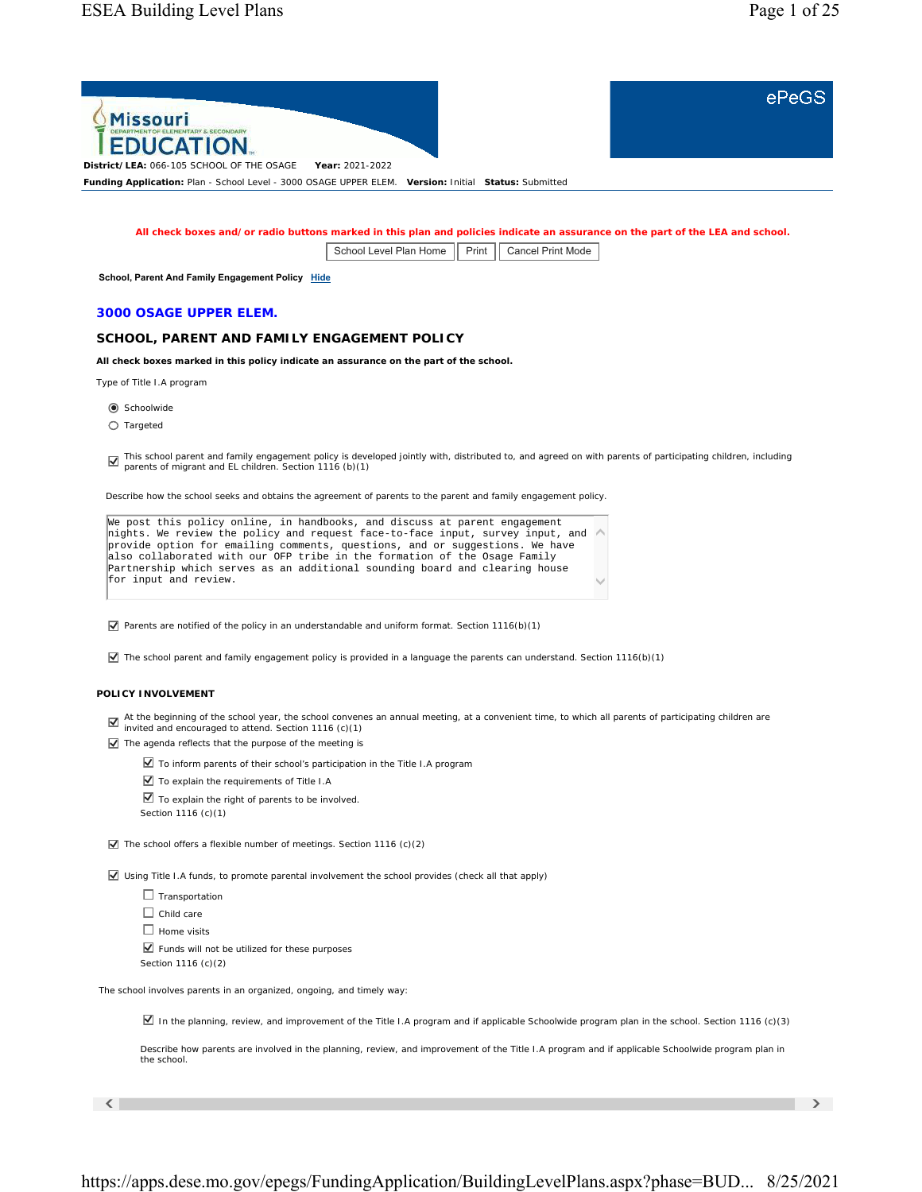ePeGS



**All check boxes and/or radio buttons marked in this plan and policies indicate an assurance on the part of the LEA and school.**

School Level Plan Home | Print | Cancel Print Mode

**School, Parent And Family Engagement Policy Hide** 

## **3000 OSAGE UPPER ELEM.**

# **SCHOOL, PARENT AND FAMILY ENGAGEMENT POLICY**

**All check boxes marked in this policy indicate an assurance on the part of the school.**

Type of Title I.A program

C Schoolwide

 $O$  Targeted

This school parent and family engagement policy is developed jointly with, distributed to, and agreed on with parents of participating children, including parents of migrant and EL children. *Section 1116 (b)(1)*

Describe how the school seeks and obtains the agreement of parents to the parent and family engagement policy.

| We post this policy online, in handbooks, and discuss at parent engagement                 |              |
|--------------------------------------------------------------------------------------------|--------------|
| hights. We review the policy and request face-to-face input, survey input, and $\triangle$ |              |
| provide option for emailing comments, questions, and or suggestions. We have               |              |
| also collaborated with our OFP tribe in the formation of the Osage Family                  |              |
| Partnership which serves as an additional sounding board and clearing house                |              |
| for input and review.                                                                      | $\checkmark$ |
|                                                                                            |              |

 $\overline{V}$  Parents are notified of the policy in an understandable and uniform format. *Section 1116(b)(1)* 

 $\blacktriangledown$  The school parent and family engagement policy is provided in a language the parents can understand. *Section 1116(b)(1)* 

## **POLICY INVOLVEMENT**

At the beginning of the school year, the school convenes an annual meeting, at a convenient time, to which all parents of participating children are invited and encouraged to attend. *Section 1116 (c)(1)*

 $\overline{\mathbf{V}}$  The agenda reflects that the purpose of the meeting is

To inform parents of their school's participation in the Title I.A program

To explain the requirements of Title I.A

 $\blacksquare$  To explain the right of parents to be involved. *Section 1116 (c)(1)*

The school offers a flexible number of meetings. *Section 1116 (c)(2)*

Using Title I.A funds, to promote parental involvement the school provides (check all that apply)

 $\Box$  Transportation  $\Box$  Child care  $\Box$  Home visits  $\blacktriangleright$  Funds will not be utilized for these purposes *Section 1116 (c)(2)*

The school involves parents in an organized, ongoing, and timely way:

In the planning, review, and improvement of the Title I.A program and if applicable Schoolwide program plan in the school. *Section 1116 (c)(3)*

Describe how parents are involved in the planning, review, and improvement of the Title I.A program and if applicable Schoolwide program plan in the school.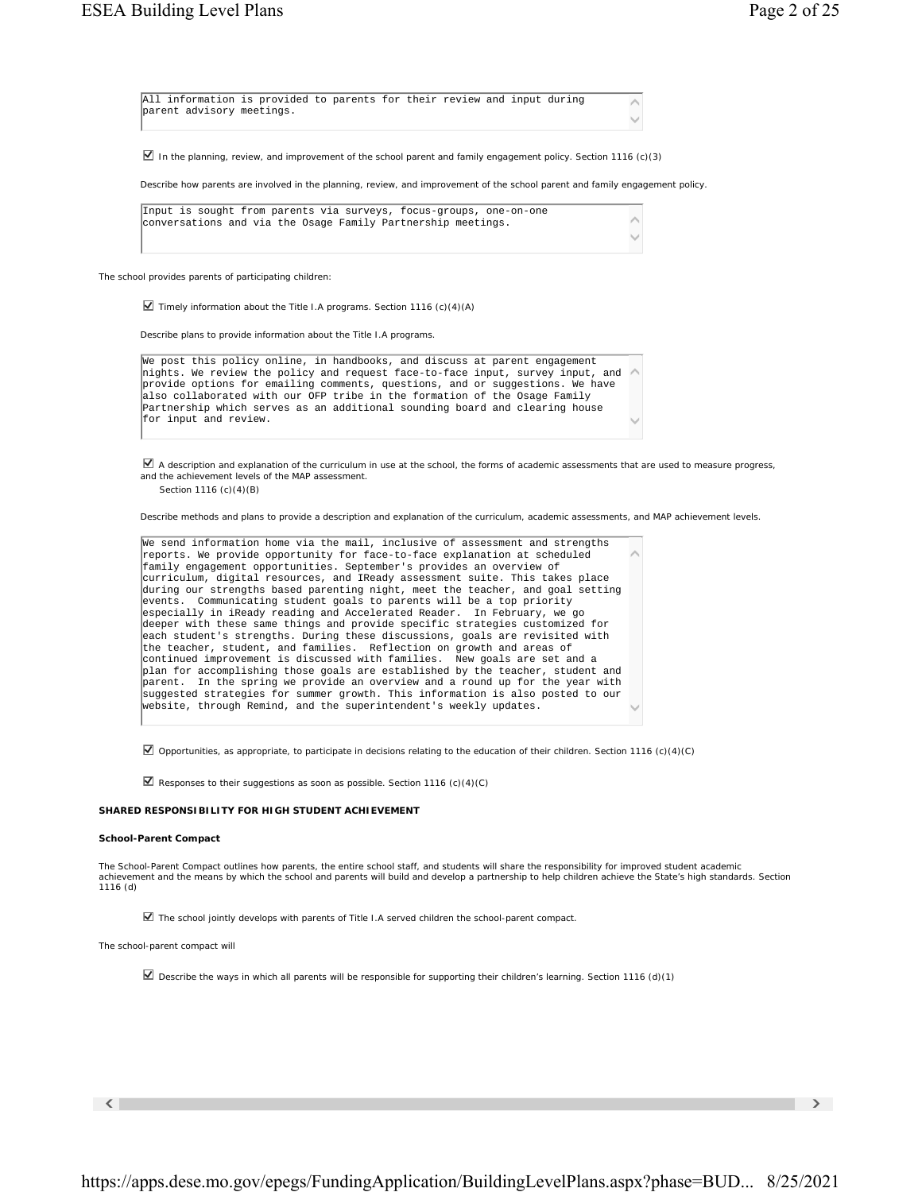| All information is provided to parents for their review and input during<br>parent advisory meetings. |  |  |  |  |  |
|-------------------------------------------------------------------------------------------------------|--|--|--|--|--|
|                                                                                                       |  |  |  |  |  |

In the planning, review, and improvement of the school parent and family engagement policy. *Section 1116 (c)(3)*

Describe how parents are involved in the planning, review, and improvement of the school parent and family engagement policy.

|  |  |  |  | Input is sought from parents via surveys, focus-groups, one-on-one |              |
|--|--|--|--|--------------------------------------------------------------------|--------------|
|  |  |  |  | conversations and via the Osage Family Partnership meetings.       |              |
|  |  |  |  |                                                                    | $\checkmark$ |

The school provides parents of participating children:

Timely information about the Title I.A programs. *Section 1116 (c)(4)(A)*

Describe plans to provide information about the Title I.A programs.

| We post this policy online, in handbooks, and discuss at parent engagement                 |              |
|--------------------------------------------------------------------------------------------|--------------|
| hights. We review the policy and request face-to-face input, survey input, and $\triangle$ |              |
| provide options for emailing comments, questions, and or suggestions. We have              |              |
| also collaborated with our OFP tribe in the formation of the Osage Family                  |              |
| Partnership which serves as an additional sounding board and clearing house                |              |
| for input and review.                                                                      | $\checkmark$ |
|                                                                                            |              |

 $\boxtimes$  A description and explanation of the curriculum in use at the school, the forms of academic assessments that are used to measure progress, and the achievement levels of the MAP assessment.

*Section 1116 (c)(4)(B)*

Describe methods and plans to provide a description and explanation of the curriculum, academic assessments, and MAP achievement levels.

```
\widehat{\phantom{a}}\checkmarkWe send information home via the mail, inclusive of assessment and strengths 
reports. We provide opportunity for face-to-face explanation at scheduled 
family engagement opportunities. September's provides an overview of 
curriculum, digital resources, and IReady assessment suite. This takes place 
during our strengths based parenting night, meet the teacher, and goal setting 
events. Communicating student goals to parents will be a top priority 
especially in iReady reading and Accelerated Reader. In February, we go 
deeper with these same things and provide specific strategies customized for 
each student's strengths. During these discussions, goals are revisited with
the teacher, student, and families. Reflection on growth and areas of 
continued improvement is discussed with families. New goals are set and a 
plan for accomplishing those goals are established by the teacher, student and 
 parent. In the spring we provide an overview and a round up for the year with 
suggested strategies for summer growth. This information is also posted to our 
 website, through Remind, and the superintendent's weekly updates.
```
Opportunities, as appropriate, to participate in decisions relating to the education of their children. *Section 1116 (c)(4)(C)*

Responses to their suggestions as soon as possible. *Section 1116 (c)(4)(C)*

#### **SHARED RESPONSIBILITY FOR HIGH STUDENT ACHIEVEMENT**

#### **School-Parent Compact**

The School-Parent Compact outlines how parents, the entire school staff, and students will share the responsibility for improved student academic achievement and the means by which the school and parents will build and develop a partnership to help children achieve the State's high standards. *Section 1116 (d)*

The school jointly develops with parents of Title I.A served children the school-parent compact.

The school-parent compact will

Describe the ways in which all parents will be responsible for supporting their children's learning. *Section 1116 (d)(1)*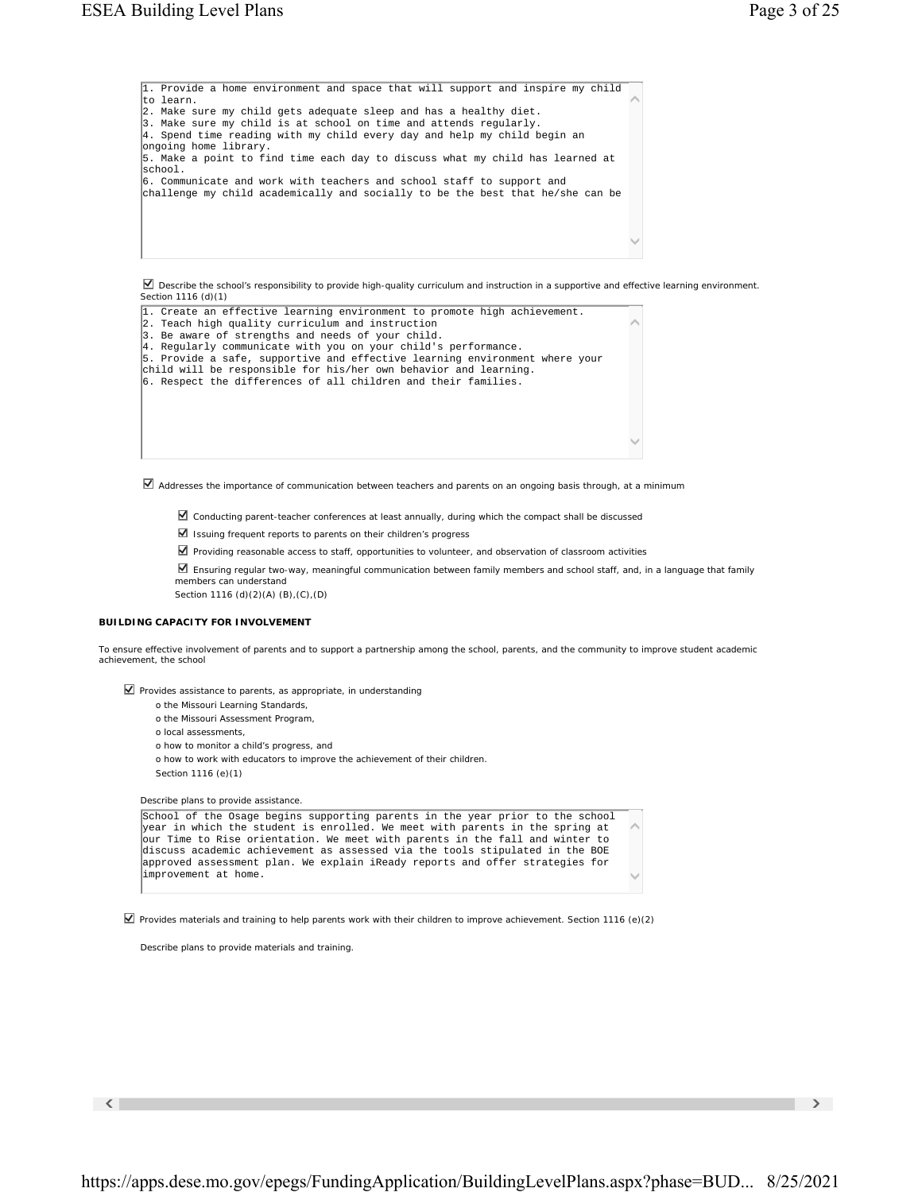$\widehat{\phantom{a}}$  $\checkmark$ 1. Provide a home environment and space that will support and inspire my child to learn. 2. Make sure my child gets adequate sleep and has a healthy diet. 3. Make sure my child is at school on time and attends regularly. 4. Spend time reading with my child every day and help my child begin an ongoing home library. 5. Make a point to find time each day to discuss what my child has learned at school. 6. Communicate and work with teachers and school staff to support and challenge my child academically and socially to be the best that he/she can be

■ Describe the school's responsibility to provide high-quality curriculum and instruction in a supportive and effective learning environment. *Section 1116 (d)(1)*

| 1. Create an effective learning environment to promote high achievement.<br>2. Teach high quality curriculum and instruction |  |
|------------------------------------------------------------------------------------------------------------------------------|--|
| 3. Be aware of strengths and needs of your child.                                                                            |  |
| 4. Reqularly communicate with you on your child's performance.                                                               |  |
| 5. Provide a safe, supportive and effective learning environment where your                                                  |  |
| child will be responsible for his/her own behavior and learning.                                                             |  |
| 6. Respect the differences of all children and their families.                                                               |  |
|                                                                                                                              |  |
|                                                                                                                              |  |
|                                                                                                                              |  |
|                                                                                                                              |  |
|                                                                                                                              |  |
|                                                                                                                              |  |
|                                                                                                                              |  |

 $\blacktriangleright$  Addresses the importance of communication between teachers and parents on an ongoing basis through, at a minimum

- Conducting parent-teacher conferences at least annually, during which the compact shall be discussed
- $\blacksquare$  Issuing frequent reports to parents on their children's progress
- Providing reasonable access to staff, opportunities to volunteer, and observation of classroom activities
- Ensuring regular two-way, meaningful communication between family members and school staff, and, in a language that family members can understand

*Section 1116 (d)(2)(A) (B),(C),(D)*

### **BUILDING CAPACITY FOR INVOLVEMENT**

To ensure effective involvement of parents and to support a partnership among the school, parents, and the community to improve student academic achievement, the school

 $\nabla$  Provides assistance to parents, as appropriate, in understanding

- o the Missouri Learning Standards,
- o the Missouri Assessment Program,
- o local assessments,
- o how to monitor a child's progress, and
- o how to work with educators to improve the achievement of their children. *Section 1116 (e)(1)*

Describe plans to provide assistance.

 $\widehat{\phantom{a}}$  $\checkmark$ School of the Osage begins supporting parents in the year prior to the school year in which the student is enrolled. We meet with parents in the spring at our Time to Rise orientation. We meet with parents in the fall and winter to discuss academic achievement as assessed via the tools stipulated in the BOE approved assessment plan. We explain iReady reports and offer strategies for improvement at home.

Provides materials and training to help parents work with their children to improve achievement. *Section 1116 (e)(2)*

Describe plans to provide materials and training.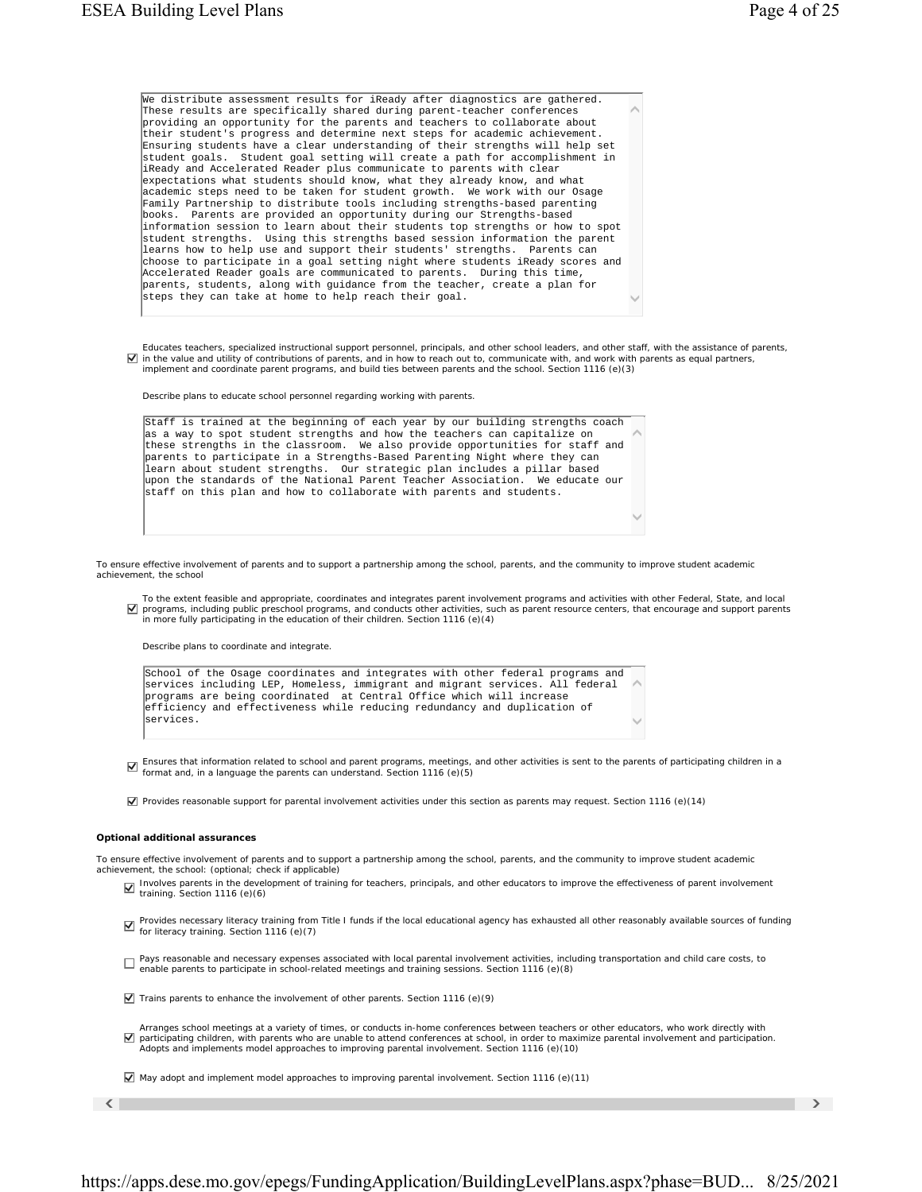| We distribute assessment results for iReady after diagnostics are gathered.                                                                            |  |
|--------------------------------------------------------------------------------------------------------------------------------------------------------|--|
| These results are specifically shared during parent-teacher conferences                                                                                |  |
| providing an opportunity for the parents and teachers to collaborate about                                                                             |  |
| their student's progress and determine next steps for academic achievement.                                                                            |  |
| Ensuring students have a clear understanding of their strengths will help set                                                                          |  |
| student goals. Student goal setting will create a path for accomplishment in                                                                           |  |
| iReady and Accelerated Reader plus communicate to parents with clear                                                                                   |  |
| expectations what students should know, what they already know, and what                                                                               |  |
| academic steps need to be taken for student growth. We work with our Osage                                                                             |  |
| Family Partnership to distribute tools including strengths-based parenting                                                                             |  |
| books. Parents are provided an opportunity during our Strengths-based                                                                                  |  |
| information session to learn about their students top strengths or how to spot                                                                         |  |
| student strengths. Using this strengths based session information the parent                                                                           |  |
| learns how to help use and support their students' strengths. Parents can                                                                              |  |
| choose to participate in a goal setting night where students iReady scores and                                                                         |  |
| Accelerated Reader goals are communicated to parents. During this time,                                                                                |  |
| parents, students, along with guidance from the teacher, create a plan for                                                                             |  |
| steps they can take at home to help reach their goal.                                                                                                  |  |
|                                                                                                                                                        |  |
|                                                                                                                                                        |  |
|                                                                                                                                                        |  |
| Educates teachers, specialized instructional support personnel, principals, and other school leaders, and other staff, with the assistance of parents, |  |
| √ in the value and utility of contributions of parents, and in how to reach out to, communicate with, and work with parents as equal partners,         |  |
| implement and coordinate parent programs, and build ties between parents and the school. Section 1116 (e)(3)                                           |  |
|                                                                                                                                                        |  |
| Describe plans to educate school personnel regarding working with parents.                                                                             |  |
|                                                                                                                                                        |  |

 $\widehat{\phantom{a}}$ Staff is trained at the beginning of each year by our building strengths coach as a way to spot student strengths and how the teachers can capitalize on these strengths in the classroom. We also provide opportunities for staff and parents to participate in a Strengths-Based Parenting Night where they can learn about student strengths. Our strategic plan includes a pillar based upon the standards of the National Parent Teacher Association. We educate our staff on this plan and how to collaborate with parents and students.

To ensure effective involvement of parents and to support a partnership among the school, parents, and the community to improve student academic achievement, the school

To the extent feasible and appropriate, coordinates and integrates parent involvement programs and activities with other Federal, State, and local<br>programs, including public preschool programs, and conducts other activitie in more fully participating in the education of their children. *Section 1116 (e)(4)*

 $\checkmark$ 

Describe plans to coordinate and integrate.

| School of the Osage coordinates and integrates with other federal programs and             |              |
|--------------------------------------------------------------------------------------------|--------------|
| services including LEP. Homeless. immigrant and migrant services. All federal $\;\wedge\;$ |              |
| programs are being coordinated  at Central Office which will increase                      |              |
| efficiency and effectiveness while reducing redundancy and duplication of                  |              |
| services.                                                                                  | $\checkmark$ |
|                                                                                            |              |

 $\Box$  Ensures that information related to school and parent programs, meetings, and other activities is sent to the parents of participating children in a format and, in a language the parents can understand. Section 1116

Provides reasonable support for parental involvement activities under this section as parents may request. *Section 1116 (e)(14)*

#### **Optional additional assurances**

To ensure effective involvement of parents and to support a partnership among the school, parents, and the community to improve student academic achievement, the school: (optional; check if applicable)

- Involves parents in the development of training for teachers, principals, and other educators to improve the effectiveness of parent involvement training. *Section 1116 (e)(6)*
- Provides necessary literacy training from Title I funds if the local educational agency has exhausted all other reasonably available sources of funding for literacy training. *Section 1116 (e)(7)*
- Pays reasonable and necessary expenses associated with local parental involvement activities, including transportation and child care costs, to<br>enable parents to participate in school-related meetings and training sessions
- Trains parents to enhance the involvement of other parents. *Section 1116 (e)(9)*
- Arranges school meetings at a variety of times, or conducts in-home conferences between teachers or other educators, who work directly with participating children, with parents who are unable to attend conferences at school, in order to maximize parental involvement and participation. Adopts and implements model approaches to improving parental involvement. *Section 1116 (e)(10)*

May adopt and implement model approaches to improving parental involvement. *Section 1116 (e)(11)*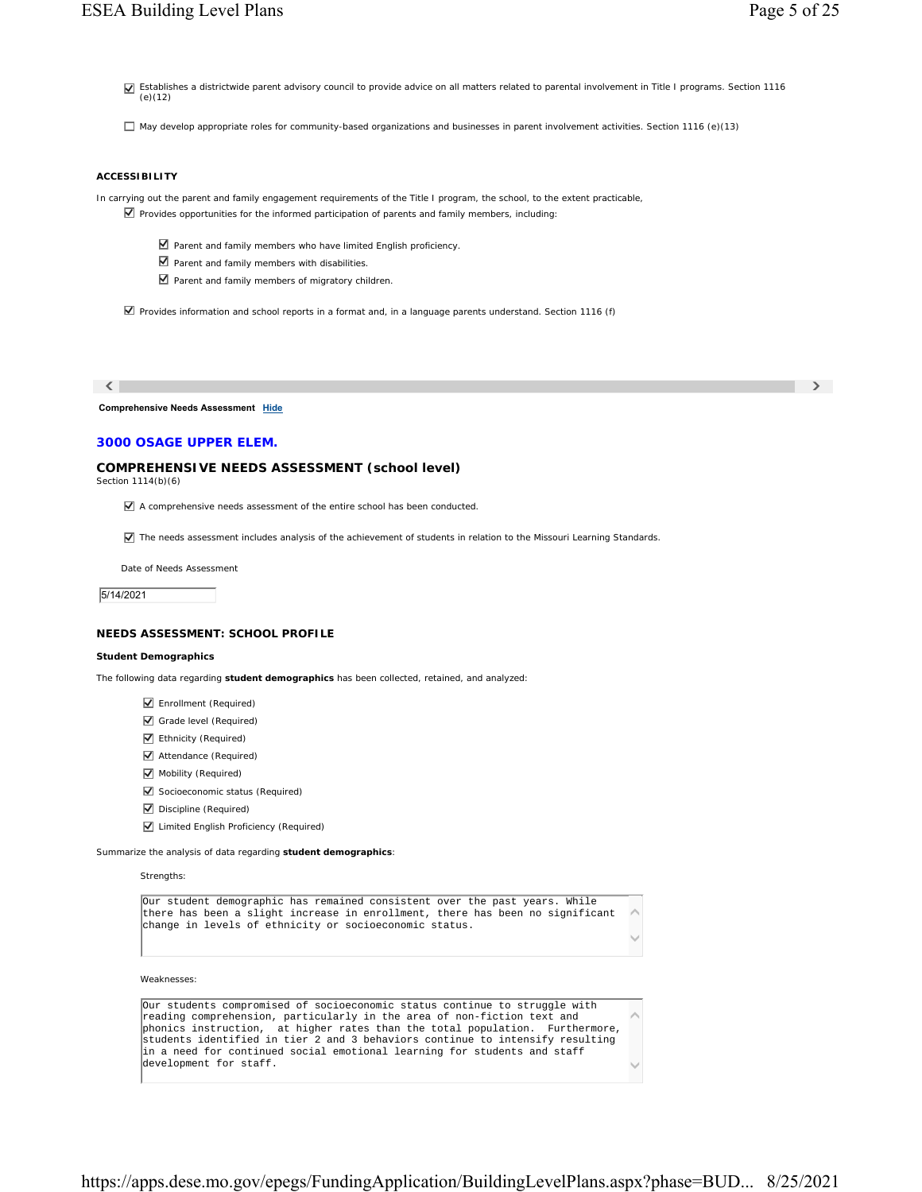Establishes a districtwide parent advisory council to provide advice on all matters related to parental involvement in Title I programs. *Section 1116 (e)(12)*

May develop appropriate roles for community-based organizations and businesses in parent involvement activities. *Section 1116 (e)(13)*

## **ACCESSIBILITY**

In carrying out the parent and family engagement requirements of the Title I program, the school, to the extent practicable,

- $\Box$  Provides opportunities for the informed participation of parents and family members, including:
	- Parent and family members who have limited English proficiency.
	- $\blacksquare$  Parent and family members with disabilities.
	- Parent and family members of migratory children.

Provides information and school reports in a format and, in a language parents understand. *Section 1116 (f)*

 $\langle$  , and the contract of the contract of the contract of the contract of  $\langle$ 

**Comprehensive Needs Assessment Hide**

## **3000 OSAGE UPPER ELEM.**

## **COMPREHENSIVE NEEDS ASSESSMENT (school level)**

*Section 1114(b)(6)*

A comprehensive needs assessment of the entire school has been conducted.

The needs assessment includes analysis of the achievement of students in relation to the Missouri Learning Standards.

Date of Needs Assessment

5/14/2021

## **NEEDS ASSESSMENT: SCHOOL PROFILE**

#### **Student Demographics**

The following data regarding **student demographics** has been collected, retained, and analyzed:

- **Enrollment** (Required)
- Grade level (Required)
- **Z** Ethnicity (Required)
- Attendance (Required)
- Mobility (Required)
- Socioeconomic status (Required)
- Discipline (Required)
- **V** Limited English Proficiency (Required)

Summarize the analysis of data regarding **student demographics**:

Strengths:

| Our student demographic has remained consistent over the past years. While    |              |
|-------------------------------------------------------------------------------|--------------|
| there has been a slight increase in enrollment, there has been no significant |              |
| change in levels of ethnicity or socioeconomic status.                        |              |
|                                                                               | $\checkmark$ |

Weaknesses:

| Our students compromised of socioeconomic status continue to struggle with    |              |
|-------------------------------------------------------------------------------|--------------|
| reading comprehension, particularly in the area of non-fiction text and       |              |
| phonics instruction, at higher rates than the total population. Furthermore,  |              |
| students identified in tier 2 and 3 behaviors continue to intensify resulting |              |
| in a need for continued social emotional learning for students and staff      |              |
| development for staff.                                                        | $\checkmark$ |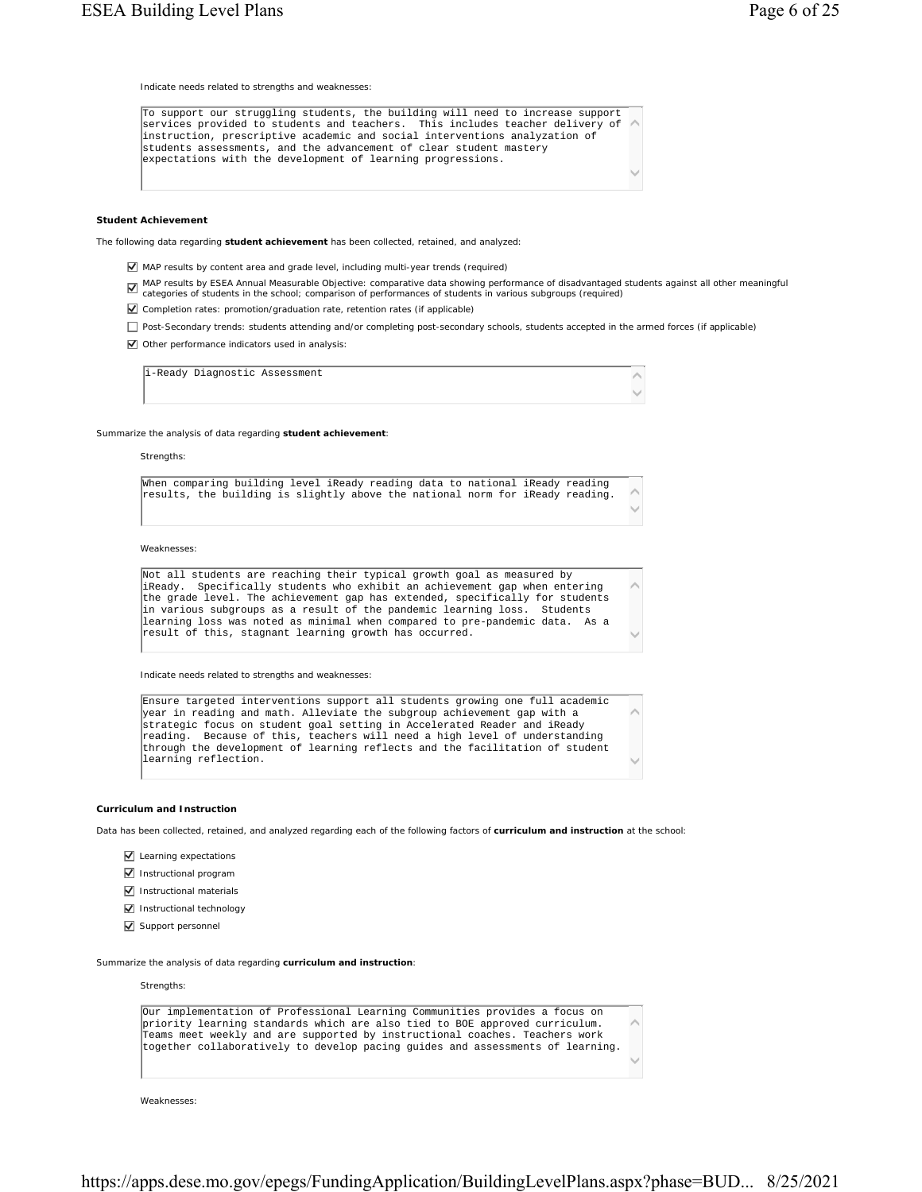Indicate needs related to strengths and weaknesses:

 $\widehat{\phantom{a}}$  $\checkmark$ To support our struggling students, the building will need to increase support services provided to students and teachers. This includes teacher delivery of instruction, prescriptive academic and social interventions analyzation of students assessments, and the advancement of clear student mastery expectations with the development of learning progressions.

#### **Student Achievement**

The following data regarding **student achievement** has been collected, retained, and analyzed:

- MAP results by content area and grade level, including multi-year trends (required)
- MAP results by ESEA Annual Measurable Objective: comparative data showing performance of disadvantaged students against all other meaningful categories of students in the school; comparison of performances of students in v
- Completion rates: promotion/graduation rate, retention rates (if applicable)
- Post-Secondary trends: students attending and/or completing post-secondary schools, students accepted in the armed forces (if applicable)
- Other performance indicators used in analysis:

 $\sim$  $\checkmark$ i-Ready Diagnostic Assessment

Summarize the analysis of data regarding **student achievement**:

Strengths:

|  |  |  |  |  |  |  |  | When comparing building level iReady reading data to national iReady reading  |              |
|--|--|--|--|--|--|--|--|-------------------------------------------------------------------------------|--------------|
|  |  |  |  |  |  |  |  | results, the building is slightly above the national norm for iReady reading. |              |
|  |  |  |  |  |  |  |  |                                                                               | $\checkmark$ |

Weaknesses:

 $\widehat{\phantom{a}}$  $\checkmark$ Not all students are reaching their typical growth goal as measured by iReady. Specifically students who exhibit an achievement gap when entering the grade level. The achievement gap has extended, specifically for students in various subgroups as a result of the pandemic learning loss. Students learning loss was noted as minimal when compared to pre-pandemic data. As a result of this, stagnant learning growth has occurred.

Indicate needs related to strengths and weaknesses:

```
\widehat{\phantom{a}}\checkmarkEnsure targeted interventions support all students growing one full academic 
year in reading and math. Alleviate the subgroup achievement gap with a 
strategic focus on student goal setting in Accelerated Reader and iReady 
reading. Because of this, teachers will need a high level of understanding 
through the development of learning reflects and the facilitation of student 
learning reflection.
```
#### **Curriculum and Instruction**

Data has been collected, retained, and analyzed regarding each of the following factors of **curriculum and instruction** at the school:

- $\nabla$  Learning expectations
- Instructional program
- $\nabla$  Instructional materials
- Instructional technology
- Support personnel

Summarize the analysis of data regarding **curriculum and instruction**:

Strengths:



Weaknesses: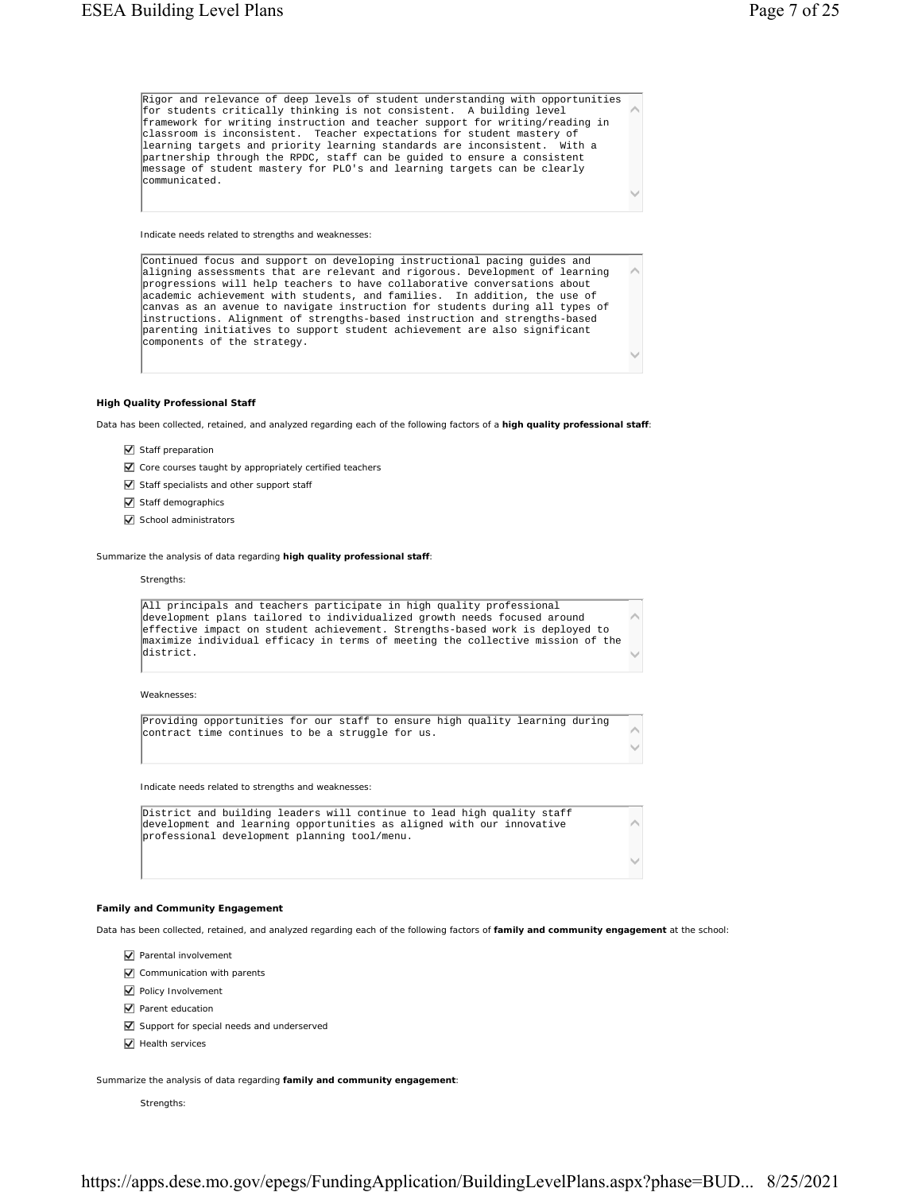$\widehat{\phantom{a}}$  $\checkmark$ Rigor and relevance of deep levels of student understanding with opportunities for students critically thinking is not consistent. A building level framework for writing instruction and teacher support for writing/reading in classroom is inconsistent. Teacher expectations for student mastery of<br>learning targets and priority learning standards are inconsistent. With a learning targets and priority learning standards are inconsistent. partnership through the RPDC, staff can be guided to ensure a consistent message of student mastery for PLO's and learning targets can be clearly communicated.

Indicate needs related to strengths and weaknesses:

 $\widehat{\phantom{a}}$  $\checkmark$ Continued focus and support on developing instructional pacing guides and aligning assessments that are relevant and rigorous. Development of learning progressions will help teachers to have collaborative conversations about academic achievement with students, and families. In addition, the use of canvas as an avenue to navigate instruction for students during all types of instructions. Alignment of strengths-based instruction and strengths-based parenting initiatives to support student achievement are also significant components of the strategy.

#### **High Quality Professional Staff**

Data has been collected, retained, and analyzed regarding each of the following factors of a **high quality professional staff**:

- $\overline{\mathbf{y}}$  Staff preparation
- Core courses taught by appropriately certified teachers
- $\triangledown$  Staff specialists and other support staff
- Staff demographics
- $\sqrt{\phantom{a}}$  School administrators

Summarize the analysis of data regarding **high quality professional staff**:

#### Strengths:

 $\widehat{\phantom{a}}$  $\checkmark$ All principals and teachers participate in high quality professional development plans tailored to individualized growth needs focused around effective impact on student achievement. Strengths-based work is deployed to maximize individual efficacy in terms of meeting the collective mission of the district.

Weaknesses:

 $\widehat{\phantom{a}}$  $\checkmark$ Providing opportunities for our staff to ensure high quality learning during contract time continues to be a struggle for us.

Indicate needs related to strengths and weaknesses:

 $\widehat{\phantom{a}}$  $\checkmark$ District and building leaders will continue to lead high quality staff development and learning opportunities as aligned with our innovative professional development planning tool/menu.

### **Family and Community Engagement**

Data has been collected, retained, and analyzed regarding each of the following factors of **family and community engagement** at the school:

- $\triangledown$  Parental involvement
- **V** Communication with parents
- **V** Policy Involvement
- Parent education
- $\nabla$  Support for special needs and underserved
- $\overline{\mathbf{V}}$  Health services

Summarize the analysis of data regarding **family and community engagement**:

Strengths: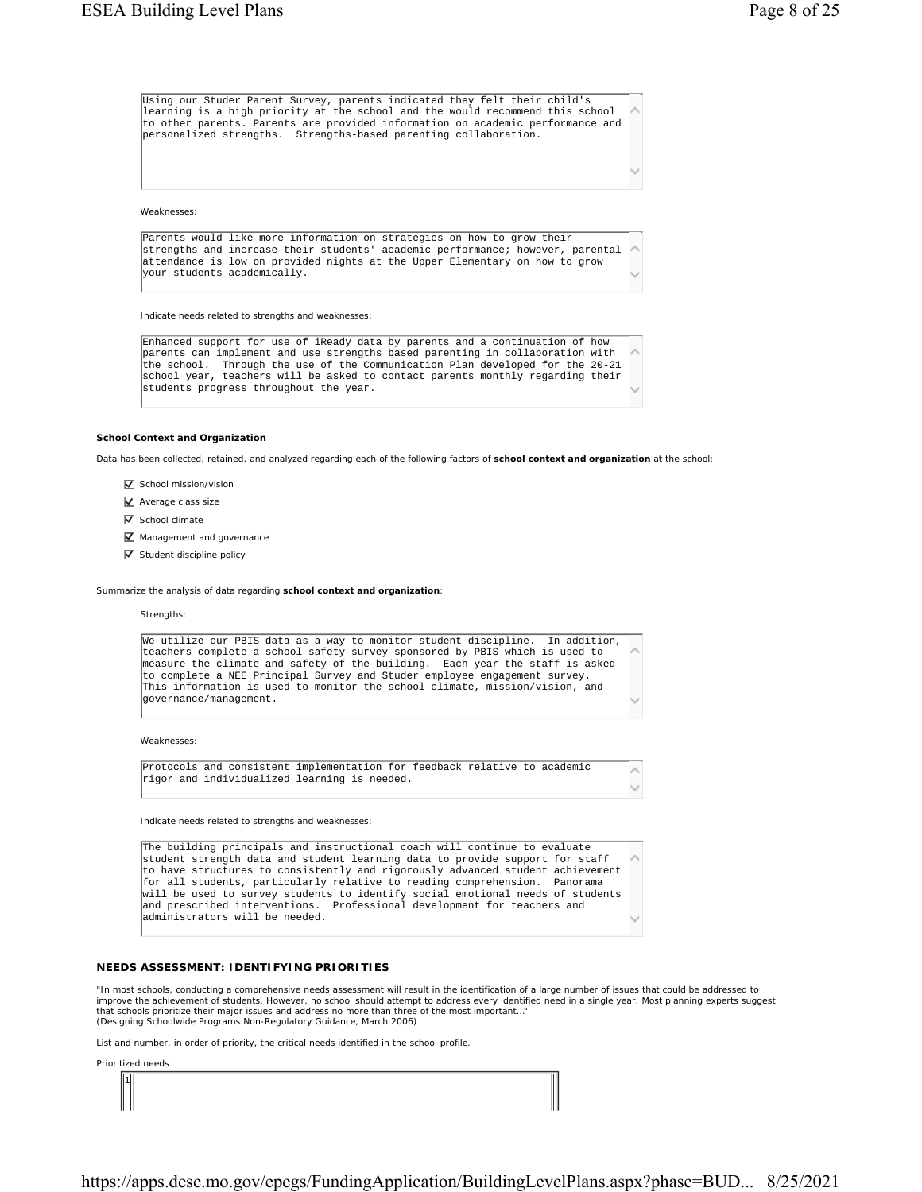$\checkmark$ 

 $\sim$ 

 $\widehat{\phantom{a}}$ Using our Studer Parent Survey, parents indicated they felt their child's learning is a high priority at the school and the would recommend this school to other parents. Parents are provided information on academic performance and personalized strengths. Strengths-based parenting collaboration.

Weaknesses:

 $\widehat{\phantom{a}}$  $\checkmark$ Parents would like more information on strategies on how to grow their strengths and increase their students' academic performance; however, parental attendance is low on provided nights at the Upper Elementary on how to grow your students academically.

Indicate needs related to strengths and weaknesses:

 $\widehat{\phantom{a}}$  $\checkmark$ Enhanced support for use of iReady data by parents and a continuation of how parents can implement and use strengths based parenting in collaboration with the school. Through the use of the Communication Plan developed for the 20-21 school year, teachers will be asked to contact parents monthly regarding their students progress throughout the year.

#### **School Context and Organization**

Data has been collected, retained, and analyzed regarding each of the following factors of **school context and organization** at the school:

- $\nabla$  School mission/vision
- $\sqrt{\phantom{a}}$  Average class size
- School climate
- $\nabla$  Management and governance
- $\triangledown$  Student discipline policy

Summarize the analysis of data regarding **school context and organization**:

#### **Strengths:**

| We utilize our PBIS data as a way to monitor student discipline. In addition,<br>teachers complete a school safety survey sponsored by PBIS which is used to<br>measure the climate and safety of the building. Each year the staff is asked<br>to complete a NEE Principal Survey and Studer employee engagement survey.<br>This information is used to monitor the school climate, mission/vision, and |  |
|----------------------------------------------------------------------------------------------------------------------------------------------------------------------------------------------------------------------------------------------------------------------------------------------------------------------------------------------------------------------------------------------------------|--|
| lgovernance/management.                                                                                                                                                                                                                                                                                                                                                                                  |  |
| Weaknesses:                                                                                                                                                                                                                                                                                                                                                                                              |  |
| Protocols and consistent implementation for feedback relative to academic<br>rigor and individualized learning is needed.                                                                                                                                                                                                                                                                                |  |

Indicate needs related to strengths and weaknesses:

 $\widehat{\phantom{a}}$  $\checkmark$ The building principals and instructional coach will continue to evaluate student strength data and student learning data to provide support for staff to have structures to consistently and rigorously advanced student achievement for all students, particularly relative to reading comprehension. Panorama will be used to survey students to identify social emotional needs of students and prescribed interventions. Professional development for teachers and administrators will be needed.

### **NEEDS ASSESSMENT: IDENTIFYING PRIORITIES**

"In most schools, conducting a comprehensive needs assessment will result in the identification of a large number of issues that could be addressed to improve the achievement of students. However, no school should attempt to address every identified need in a single year. Most planning experts suggest that schools prioritize their major issues and address no more than three of the most important…" (Designing Schoolwide Programs Non-Regulatory Guidance, March 2006)

List and number, in order of priority, the critical needs identified in the school profile.

|    | Prioritized needs |
|----|-------------------|
| hi |                   |

https://apps.dese.mo.gov/epegs/FundingApplication/BuildingLevelPlans.aspx?phase=BUD... 8/25/2021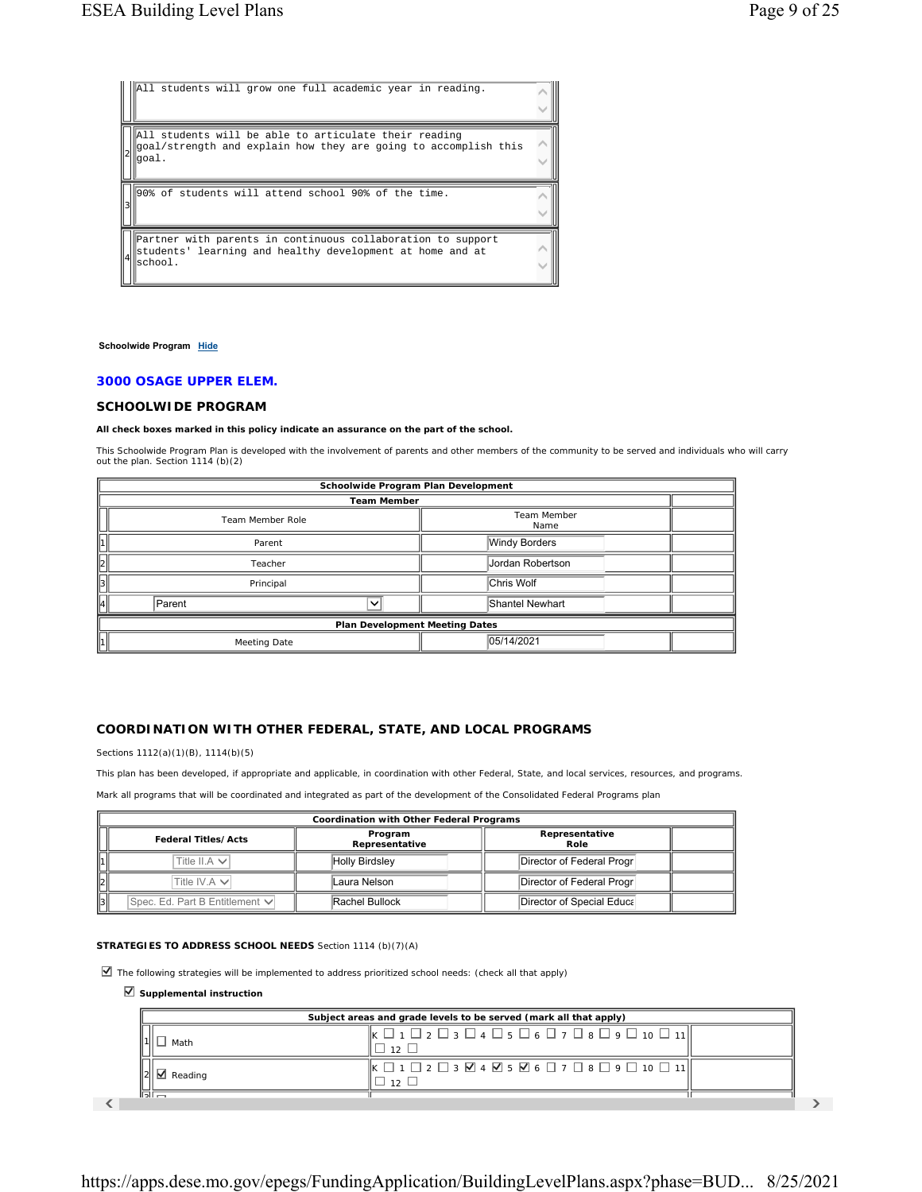| All students will grow one full academic year in reading.                                                                         |  |
|-----------------------------------------------------------------------------------------------------------------------------------|--|
| All students will be able to articulate their reading<br>goal/strength and explain how they are going to accomplish this<br>qoal. |  |
|                                                                                                                                   |  |
| 90% of students will attend school 90% of the time.                                                                               |  |

### Schoolwide Program Hide

# **3000 OSAGE UPPER ELEM.**

# **SCHOOLWIDE PROGRAM**

**All check boxes marked in this policy indicate an assurance on the part of the school.**

This Schoolwide Program Plan is developed with the involvement of parents and other members of the community to be served and individuals who will carry out the plan. *Section 1114 (b)(2)*

| Schoolwide Program Plan Development |                                           |                      |  |  |
|-------------------------------------|-------------------------------------------|----------------------|--|--|
| <b>Team Member</b>                  |                                           |                      |  |  |
|                                     | Team Member<br>Team Member Role<br>Name   |                      |  |  |
|                                     | Parent                                    | <b>Windy Borders</b> |  |  |
| $\parallel$ <sub>2</sub>            | Jordan Robertson<br>Teacher               |                      |  |  |
| 13                                  | Chris Wolf<br>Principal                   |                      |  |  |
| $\vert\vert_4\vert$                 | Shantel Newhart<br>Parent<br>$\checkmark$ |                      |  |  |
| Plan Development Meeting Dates      |                                           |                      |  |  |
|                                     | 05/14/2021<br>Meeting Date                |                      |  |  |

# **COORDINATION WITH OTHER FEDERAL, STATE, AND LOCAL PROGRAMS**

*Sections 1112(a)(1)(B), 1114(b)(5)*

This plan has been developed, if appropriate and applicable, in coordination with other Federal, State, and local services, resources, and programs.

Mark all programs that will be coordinated and integrated as part of the development of the Consolidated Federal Programs plan

|                   | Coordination with Other Federal Programs |                           |                            |  |  |
|-------------------|------------------------------------------|---------------------------|----------------------------|--|--|
|                   | <b>Federal Titles/Acts</b>               | Program<br>Representative | Representative<br>Role     |  |  |
|                   | Title II.A $\vee$                        | <b>Holly Birdsley</b>     | Director of Federal Progr  |  |  |
| 12                | Title IV.A $\vee$                        | Laura Nelson              | Director of Federal Progr  |  |  |
| $\ $ <sub>3</sub> | Spec. Ed. Part B Entitlement V           | Rachel Bullock            | Director of Special Educal |  |  |

## **STRATEGIES TO ADDRESS SCHOOL NEEDS** *Section 1114 (b)(7)(A)*

 $\Box$  The following strategies will be implemented to address prioritized school needs: (check all that apply)

## **Supplemental instruction**

| Subject areas and grade levels to be served (mark all that apply) |                                                                                                                                                                                                                                                                      |  |
|-------------------------------------------------------------------|----------------------------------------------------------------------------------------------------------------------------------------------------------------------------------------------------------------------------------------------------------------------|--|
| Math                                                              | $\mathsf{I}_{\mathsf{K}} \mathrel{\square}_1 \mathrel{\square}_2 \mathrel{\square}_3 \mathrel{\square}_4 \mathrel{\square}_5 \mathrel{\square}_6 \mathrel{\square}_7 \mathrel{\square}_8 \mathrel{\square}_9 \mathrel{\square}_1_0 \mathrel{\square}_1_1 \mathsf{I}$ |  |
| Reading                                                           | $\vert\vert_{\mathsf{K}} \Box$ 1 \Box                                                                                                                                                                                                                                |  |
| 局岸                                                                |                                                                                                                                                                                                                                                                      |  |

 $\sim$  35  $\sim$  35  $\sim$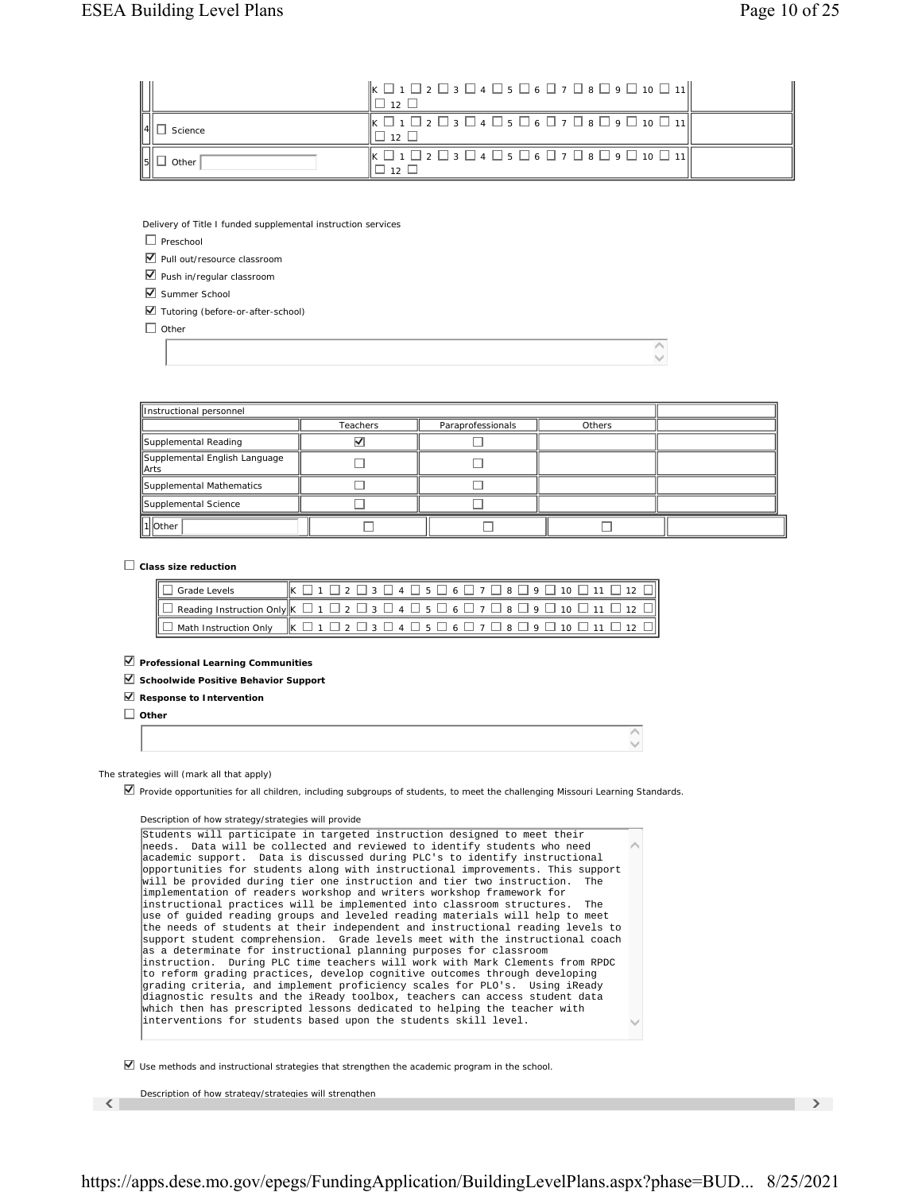|         | $\Vert$ K $\Box$ 1 $\Box$ 2 $\Box$ 3 $\Box$ 4 $\Box$ 5 $\Box$ 6 $\Box$ 7 $\Box$ 8 $\Box$ 9 $\Box$ 10 $\Box$ 11 $\Vert$<br>$+1121$ |  |
|---------|-----------------------------------------------------------------------------------------------------------------------------------|--|
| Science | $\Vert K \Box 1 \Box 2 \Box 3 \Box 4 \Box 5 \Box 6 \Box 7 \Box 8 \Box 9 \Box 10 \Box 11 \Vert$<br>1121                            |  |
| Other   | $\vert\vert_{\mathsf{K}} \Box$ 1 \Box                                                                                             |  |

Delivery of Title I funded supplemental instruction services

 $\Box$  Preschool

■ Pull out/resource classroom

 $\nabla$  Push in/regular classroom

Summer School

Tutoring (before-or-after-school)

 $\Box$  Other

| Instructional personnel                         |                 |                   |        |  |
|-------------------------------------------------|-----------------|-------------------|--------|--|
|                                                 | <b>Teachers</b> | Paraprofessionals | Others |  |
| Supplemental Reading                            |                 |                   |        |  |
| Supplemental English Language<br><b>I</b> IArts |                 |                   |        |  |
| Supplemental Mathematics                        |                 |                   |        |  |
| Supplemental Science                            |                 |                   |        |  |
| 1 Other                                         |                 |                   |        |  |

 $\overline{\wedge}$  $\overline{\vee}$ 

**Class size reduction**

| $\Box$ Grade Levels | $K \Box 1 \Box 2 \Box 3 \Box 4 \Box 5 \Box 6 \Box 7 \Box 8 \Box 9 \Box 10 \Box 11 \Box 12 \Box$                                                               |
|---------------------|---------------------------------------------------------------------------------------------------------------------------------------------------------------|
|                     | $\Box$ Reading Instruction Only $\Bbbk$ $\Box$ 1 $\Box$ 2 $\Box$ 3 $\Box$ 4 $\Box$ 5 $\Box$ 6 $\Box$ 7 $\Box$ 8 $\Box$ 9 $\Box$ 10 $\Box$ 11 $\Box$ 12 $\Box$ |
|                     | $\boxed{\Box \text{ Math Instruction Only }} \boxed{\text{K} \Box 1 \Box 2 \Box 3 \Box 4 \Box 5 \Box 6 \Box 7 \Box 8 \Box 9 \Box 10 \Box 11 \Box 12 \Box}$    |

**Professional Learning Communities**

**Schoolwide Positive Behavior Support**

**Response to Intervention**

**Other**

The strategies will (mark all that apply)

Provide opportunities for all children, including subgroups of students, to meet the challenging Missouri Learning Standards.

### Description of how strategy/strategies will provide

 $\widehat{\phantom{a}}$  $\checkmark$ Students will participate in targeted instruction designed to meet their needs. Data will be collected and reviewed to identify students who need academic support. Data is discussed during PLC's to identify instructional opportunities for students along with instructional improvements. This support will be provided during tier one instruction and tier two instruction. The implementation of readers workshop and writers workshop framework for instructional practices will be implemented into classroom structures. The use of guided reading groups and leveled reading materials will help to meet the needs of students at their independent and instructional reading levels to support student comprehension. Grade levels meet with the instructional coach as a determinate for instructional planning purposes for classroom instruction. During PLC time teachers will work with Mark Clements from RPDC to reform grading practices, develop cognitive outcomes through developing grading criteria, and implement proficiency scales for PLO's. Using iReady diagnostic results and the iReady toolbox, teachers can access student data which then has prescripted lessons dedicated to helping the teacher with interventions for students based upon the students skill level.

 $\nabla$  Use methods and instructional strategies that strengthen the academic program in the school.

( Description of how strategy/strategies will strengthen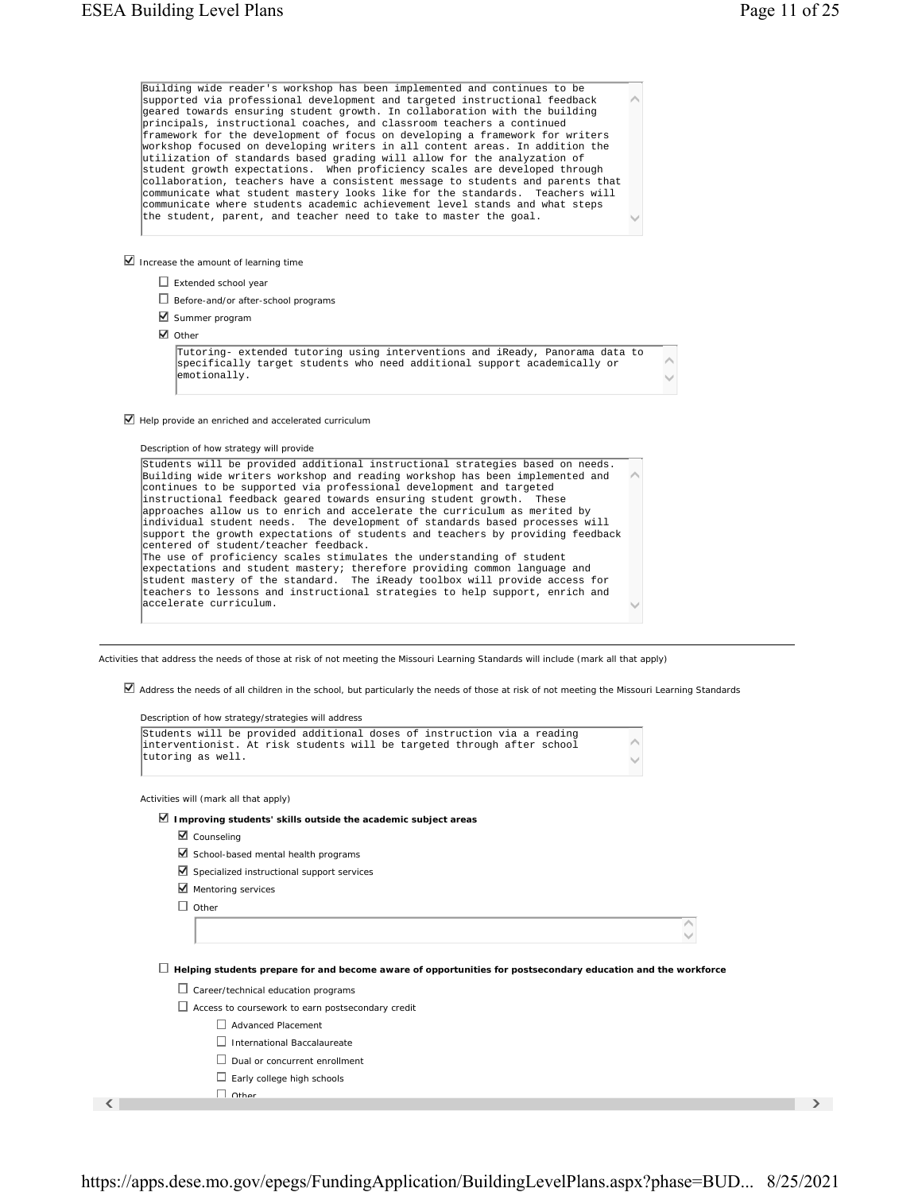| Building wide reader's workshop has been implemented and continues to be<br>supported via professional development and targeted instructional feedback<br>geared towards ensuring student growth. In collaboration with the building<br>principals, instructional coaches, and classroom teachers a continued<br>framework for the development of focus on developing a framework for writers<br>workshop focused on developing writers in all content areas. In addition the<br>utilization of standards based grading will allow for the analyzation of<br>student growth expectations. When proficiency scales are developed through<br>collaboration, teachers have a consistent message to students and parents that<br>communicate what student mastery looks like for the standards. Teachers will<br>communicate where students academic achievement level stands and what steps<br>the student, parent, and teacher need to take to master the goal. |  |
|---------------------------------------------------------------------------------------------------------------------------------------------------------------------------------------------------------------------------------------------------------------------------------------------------------------------------------------------------------------------------------------------------------------------------------------------------------------------------------------------------------------------------------------------------------------------------------------------------------------------------------------------------------------------------------------------------------------------------------------------------------------------------------------------------------------------------------------------------------------------------------------------------------------------------------------------------------------|--|
| Increase the amount of learning time                                                                                                                                                                                                                                                                                                                                                                                                                                                                                                                                                                                                                                                                                                                                                                                                                                                                                                                          |  |
| $\Box$ Extended school year                                                                                                                                                                                                                                                                                                                                                                                                                                                                                                                                                                                                                                                                                                                                                                                                                                                                                                                                   |  |
| $\Box$ Before-and/or after-school programs                                                                                                                                                                                                                                                                                                                                                                                                                                                                                                                                                                                                                                                                                                                                                                                                                                                                                                                    |  |
| $\blacksquare$ Summer program                                                                                                                                                                                                                                                                                                                                                                                                                                                                                                                                                                                                                                                                                                                                                                                                                                                                                                                                 |  |
| $\blacksquare$ Other                                                                                                                                                                                                                                                                                                                                                                                                                                                                                                                                                                                                                                                                                                                                                                                                                                                                                                                                          |  |
| Tutoring- extended tutoring using interventions and iReady, Panorama data to<br>specifically target students who need additional support academically or<br>emotionally.                                                                                                                                                                                                                                                                                                                                                                                                                                                                                                                                                                                                                                                                                                                                                                                      |  |
| $\blacksquare$ Help provide an enriched and accelerated curriculum                                                                                                                                                                                                                                                                                                                                                                                                                                                                                                                                                                                                                                                                                                                                                                                                                                                                                            |  |
| Description of how strategy will provide                                                                                                                                                                                                                                                                                                                                                                                                                                                                                                                                                                                                                                                                                                                                                                                                                                                                                                                      |  |
| Students will be provided additional instructional strategies based on needs.                                                                                                                                                                                                                                                                                                                                                                                                                                                                                                                                                                                                                                                                                                                                                                                                                                                                                 |  |

Activities that address the needs of those at risk of not meeting the Missouri Learning Standards will include (mark all that apply)

Address the needs of all children in the school, but particularly the needs of those at risk of not meeting the Missouri Learning Standards

| Students will be provided additional doses of instruction via a reading<br>interventionist. At risk students will be targeted through after school<br>tutoring as well. |  |
|-------------------------------------------------------------------------------------------------------------------------------------------------------------------------|--|
| Activities will (mark all that apply)                                                                                                                                   |  |
| $\blacksquare$ Improving students' skills outside the academic subject areas                                                                                            |  |
| $\blacksquare$ Counseling                                                                                                                                               |  |
| School-based mental health programs                                                                                                                                     |  |
| Specialized instructional support services                                                                                                                              |  |
| $\blacksquare$ Mentoring services                                                                                                                                       |  |
| П.<br>Other                                                                                                                                                             |  |
|                                                                                                                                                                         |  |
|                                                                                                                                                                         |  |
| Helping students prepare for and become aware of opportunities for postsecondary education and the workforce                                                            |  |
| $\Box$ Career/technical education programs                                                                                                                              |  |
| $\Box$ Access to coursework to earn postsecondary credit                                                                                                                |  |
| <b>Advanced Placement</b>                                                                                                                                               |  |
| International Baccalaureate                                                                                                                                             |  |
| Dual or concurrent enrollment                                                                                                                                           |  |
| $\Box$ Early college high schools                                                                                                                                       |  |
|                                                                                                                                                                         |  |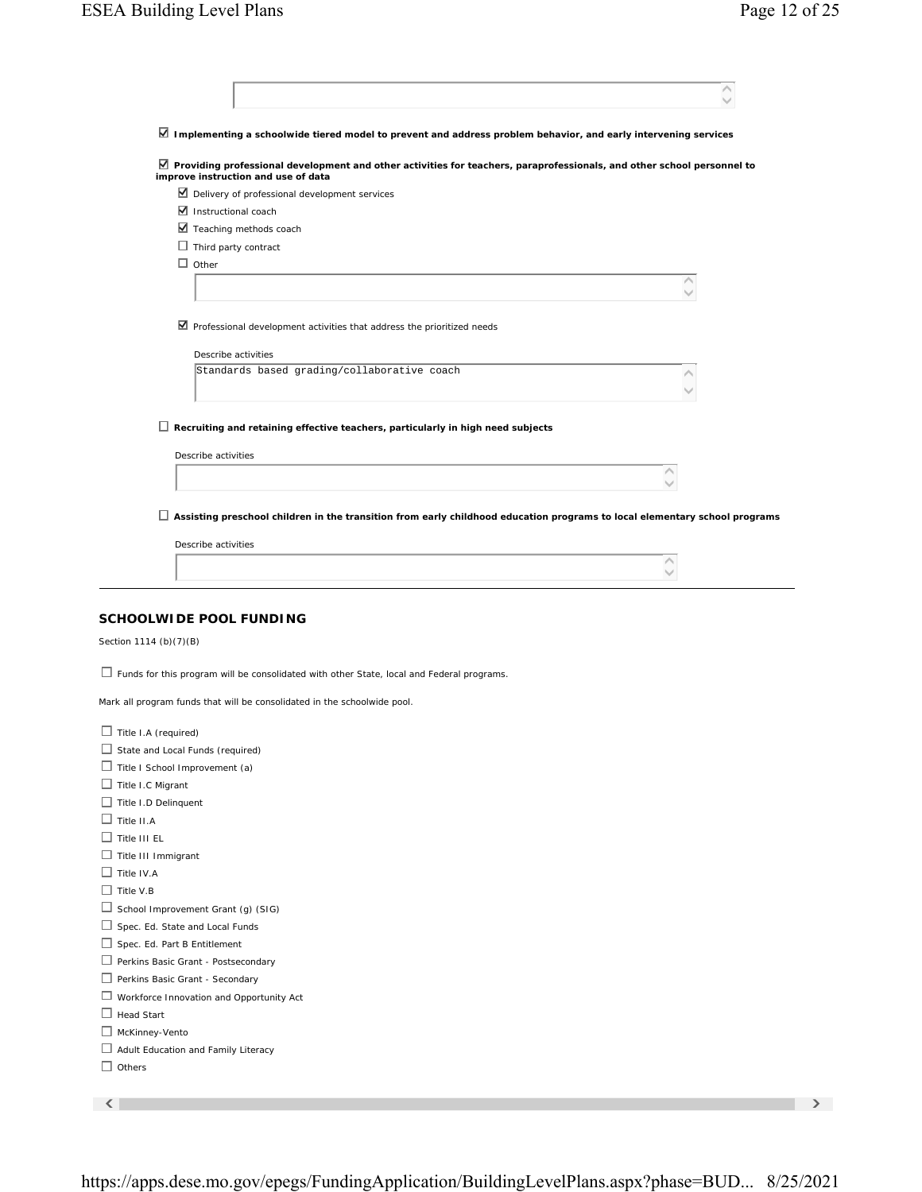| Implementing a schoolwide tiered model to prevent and address problem behavior, and early intervening services |                                                                                                                                                                 |  |
|----------------------------------------------------------------------------------------------------------------|-----------------------------------------------------------------------------------------------------------------------------------------------------------------|--|
|                                                                                                                | ■ Providing professional development and other activities for teachers, paraprofessionals, and other school personnel to<br>improve instruction and use of data |  |
|                                                                                                                | ◘ Delivery of professional development services                                                                                                                 |  |
| $\blacksquare$ Instructional coach                                                                             |                                                                                                                                                                 |  |
|                                                                                                                | Teaching methods coach                                                                                                                                          |  |
| $\Box$ Third party contract                                                                                    |                                                                                                                                                                 |  |
| $\Box$ Other                                                                                                   |                                                                                                                                                                 |  |
|                                                                                                                | Λ                                                                                                                                                               |  |
|                                                                                                                | $\blacksquare$ Professional development activities that address the prioritized needs                                                                           |  |
|                                                                                                                | Describe activities                                                                                                                                             |  |
|                                                                                                                | Standards based grading/collaborative coach                                                                                                                     |  |
|                                                                                                                |                                                                                                                                                                 |  |
|                                                                                                                |                                                                                                                                                                 |  |
|                                                                                                                | $\Box$ Recruiting and retaining effective teachers, particularly in high need subjects                                                                          |  |
| Describe activities                                                                                            |                                                                                                                                                                 |  |
|                                                                                                                |                                                                                                                                                                 |  |
|                                                                                                                |                                                                                                                                                                 |  |
|                                                                                                                | $\Box$ Assisting preschool children in the transition from early childhood education programs to local elementary school programs                               |  |
| Describe activities                                                                                            |                                                                                                                                                                 |  |
|                                                                                                                |                                                                                                                                                                 |  |
|                                                                                                                |                                                                                                                                                                 |  |
| SCHOOLWIDE POOL FUNDING<br>Section 1114 (b)(7)(B)                                                              | $\Box$ Funds for this program will be consolidated with other State, local and Federal programs.                                                                |  |
|                                                                                                                | Mark all program funds that will be consolidated in the schoolwide pool.                                                                                        |  |
| $\Box$ Title I.A (required)                                                                                    |                                                                                                                                                                 |  |
| State and Local Funds (required)                                                                               |                                                                                                                                                                 |  |
| $\Box$ Title I School Improvement (a)                                                                          |                                                                                                                                                                 |  |
| Title I.C Migrant                                                                                              |                                                                                                                                                                 |  |
| Title I.D Delinquent                                                                                           |                                                                                                                                                                 |  |
| $\Box$ Title II.A                                                                                              |                                                                                                                                                                 |  |
| $\Box$ Title III EL                                                                                            |                                                                                                                                                                 |  |
| $\Box$ Title III Immigrant                                                                                     |                                                                                                                                                                 |  |
| $\Box$ Title IV.A                                                                                              |                                                                                                                                                                 |  |
| $\Box$ Title V.B                                                                                               |                                                                                                                                                                 |  |
| $\Box$ School Improvement Grant (g) (SIG)                                                                      |                                                                                                                                                                 |  |
| Spec. Ed. State and Local Funds                                                                                |                                                                                                                                                                 |  |
| Spec. Ed. Part B Entitlement                                                                                   |                                                                                                                                                                 |  |
| Perkins Basic Grant - Postsecondary                                                                            |                                                                                                                                                                 |  |
| Perkins Basic Grant - Secondary                                                                                |                                                                                                                                                                 |  |
| $\Box$ Workforce Innovation and Opportunity Act                                                                |                                                                                                                                                                 |  |
| $\Box$ Head Start                                                                                              |                                                                                                                                                                 |  |
| McKinney-Vento                                                                                                 |                                                                                                                                                                 |  |
| $\Box$ Adult Education and Family Literacy                                                                     |                                                                                                                                                                 |  |
| $\Box$ Others                                                                                                  |                                                                                                                                                                 |  |
|                                                                                                                |                                                                                                                                                                 |  |
| ≺                                                                                                              |                                                                                                                                                                 |  |

https://apps.dese.mo.gov/epegs/FundingApplication/BuildingLevelPlans.aspx?phase=BUD... 8/25/2021